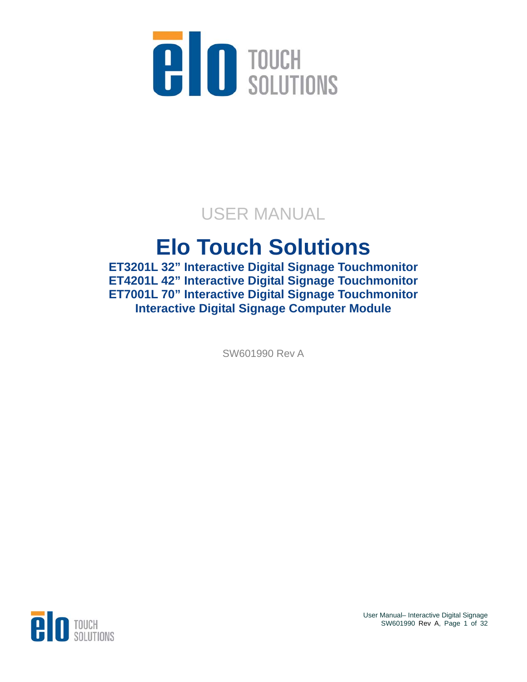

## USER MANUAL

## **Elo Touch Solutions**

**ET3201L 32" Interactive Digital Signage Touchmonitor ET4201L 42" Interactive Digital Signage Touchmonitor ET7001L 70" Interactive Digital Signage Touchmonitor Interactive Digital Signage Computer Module** 

SW601990 Rev A



User Manual– Interactive Digital Signage SW601990 Rev A, Page 1 of 32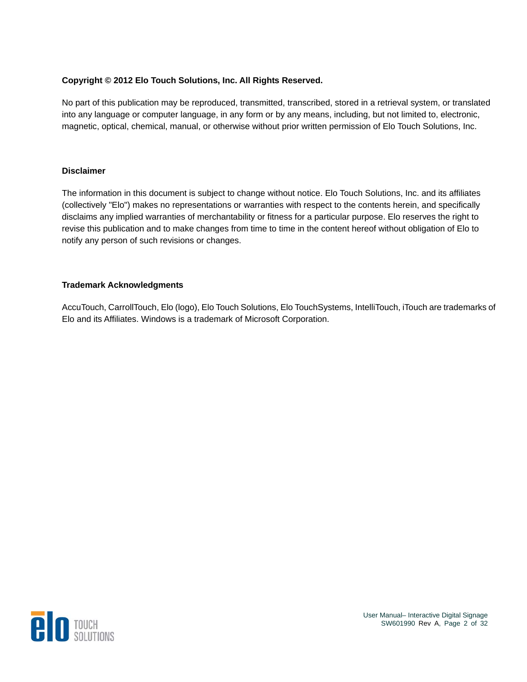#### **Copyright © 2012 Elo Touch Solutions, Inc. All Rights Reserved.**

No part of this publication may be reproduced, transmitted, transcribed, stored in a retrieval system, or translated into any language or computer language, in any form or by any means, including, but not limited to, electronic, magnetic, optical, chemical, manual, or otherwise without prior written permission of Elo Touch Solutions, Inc.

#### **Disclaimer**

The information in this document is subject to change without notice. Elo Touch Solutions, Inc. and its affiliates (collectively "Elo") makes no representations or warranties with respect to the contents herein, and specifically disclaims any implied warranties of merchantability or fitness for a particular purpose. Elo reserves the right to revise this publication and to make changes from time to time in the content hereof without obligation of Elo to notify any person of such revisions or changes.

#### **Trademark Acknowledgments**

AccuTouch, CarrollTouch, Elo (logo), Elo Touch Solutions, Elo TouchSystems, IntelliTouch, iTouch are trademarks of Elo and its Affiliates. Windows is a trademark of Microsoft Corporation.

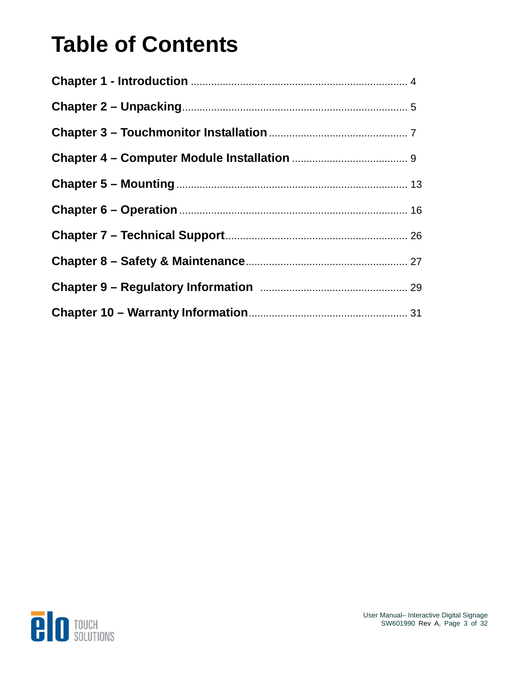## **Table of Contents**

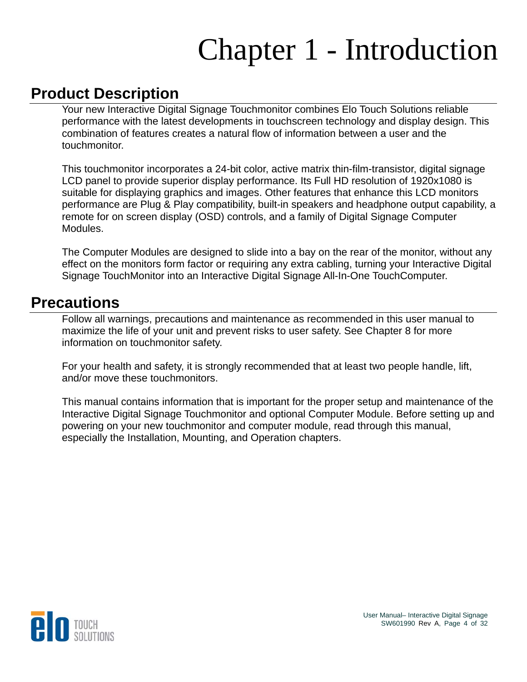# Chapter 1 - Introduction

### **Product Description**

Your new Interactive Digital Signage Touchmonitor combines Elo Touch Solutions reliable performance with the latest developments in touchscreen technology and display design. This combination of features creates a natural flow of information between a user and the touchmonitor.

This touchmonitor incorporates a 24-bit color, active matrix thin-film-transistor, digital signage LCD panel to provide superior display performance. Its Full HD resolution of 1920x1080 is suitable for displaying graphics and images. Other features that enhance this LCD monitors performance are Plug & Play compatibility, built-in speakers and headphone output capability, a remote for on screen display (OSD) controls, and a family of Digital Signage Computer Modules.

The Computer Modules are designed to slide into a bay on the rear of the monitor, without any effect on the monitors form factor or requiring any extra cabling, turning your Interactive Digital Signage TouchMonitor into an Interactive Digital Signage All-In-One TouchComputer.

#### **Precautions**

Follow all warnings, precautions and maintenance as recommended in this user manual to maximize the life of your unit and prevent risks to user safety. See Chapter 8 for more information on touchmonitor safety.

For your health and safety, it is strongly recommended that at least two people handle, lift, and/or move these touchmonitors.

This manual contains information that is important for the proper setup and maintenance of the Interactive Digital Signage Touchmonitor and optional Computer Module. Before setting up and powering on your new touchmonitor and computer module, read through this manual, especially the Installation, Mounting, and Operation chapters.

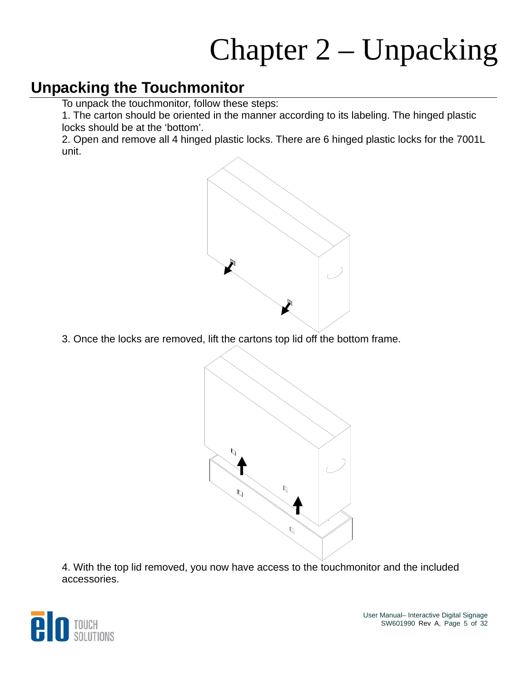# Chapter 2 – Unpacking

#### **Unpacking the Touchmonitor**

To unpack the touchmonitor, follow these steps:

1. The carton should be oriented in the manner according to its labeling. The hinged plastic locks should be at the 'bottom'.

2. Open and remove all 4 hinged plastic locks. There are 6 hinged plastic locks for the 7001L unit.



3. Once the locks are removed, lift the cartons top lid off the bottom frame.



4. With the top lid removed, you now have access to the touchmonitor and the included accessories.

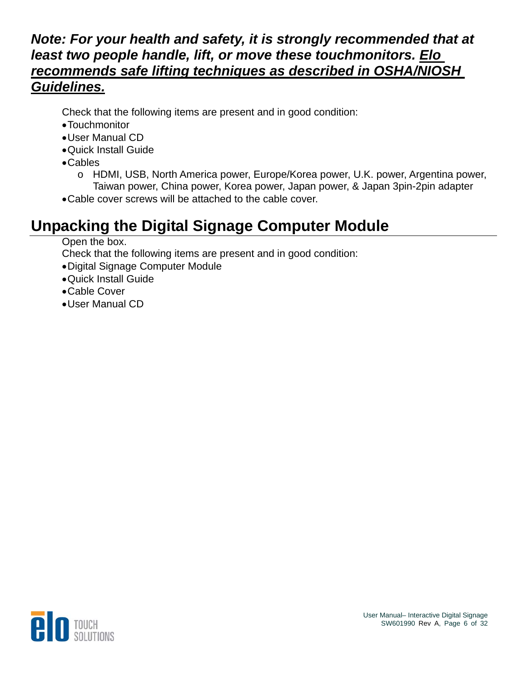#### *Note: For your health and safety, it is strongly recommended that at least two people handle, lift, or move these touchmonitors. Elo recommends safe lifting techniques as described in OSHA/NIOSH Guidelines.*

Check that the following items are present and in good condition:

- Touchmonitor
- User Manual CD
- Quick Install Guide
- Cables
	- o HDMI, USB, North America power, Europe/Korea power, U.K. power, Argentina power, Taiwan power, China power, Korea power, Japan power, & Japan 3pin-2pin adapter
- Cable cover screws will be attached to the cable cover.

## **Unpacking the Digital Signage Computer Module**

Open the box.

Check that the following items are present and in good condition:

- Digital Signage Computer Module
- Quick Install Guide
- Cable Cover
- User Manual CD

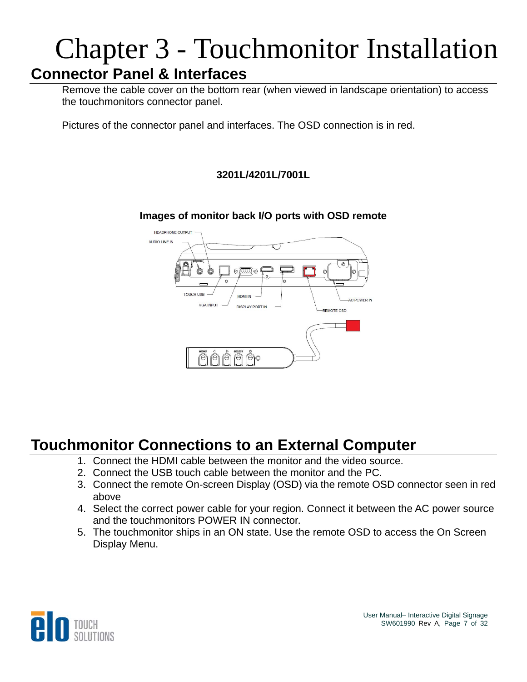## Chapter 3 - Touchmonitor Installation **Connector Panel & Interfaces**

Remove the cable cover on the bottom rear (when viewed in landscape orientation) to access the touchmonitors connector panel.

Pictures of the connector panel and interfaces. The OSD connection is in red.

#### **3201L/4201L/7001L**

#### **Images of monitor back I/O ports with OSD remote**



### **Touchmonitor Connections to an External Computer**

- 1. Connect the HDMI cable between the monitor and the video source.
- 2. Connect the USB touch cable between the monitor and the PC.
- 3. Connect the remote On-screen Display (OSD) via the remote OSD connector seen in red above
- 4. Select the correct power cable for your region. Connect it between the AC power source and the touchmonitors POWER IN connector.
- 5. The touchmonitor ships in an ON state. Use the remote OSD to access the On Screen Display Menu.

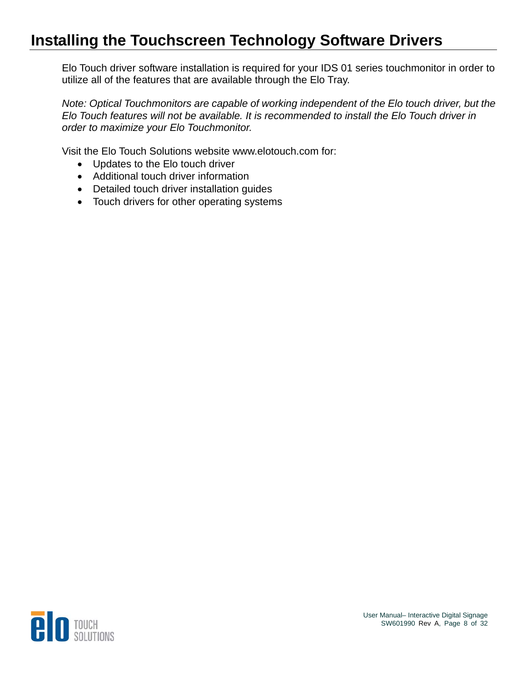### **Installing the Touchscreen Technology Software Drivers**

Elo Touch driver software installation is required for your IDS 01 series touchmonitor in order to utilize all of the features that are available through the Elo Tray.

*Note: Optical Touchmonitors are capable of working independent of the Elo touch driver, but the Elo Touch features will not be available. It is recommended to install the Elo Touch driver in order to maximize your Elo Touchmonitor.* 

Visit the Elo Touch Solutions website www.elotouch.com for:

- Updates to the Elo touch driver
- Additional touch driver information
- Detailed touch driver installation guides
- Touch drivers for other operating systems

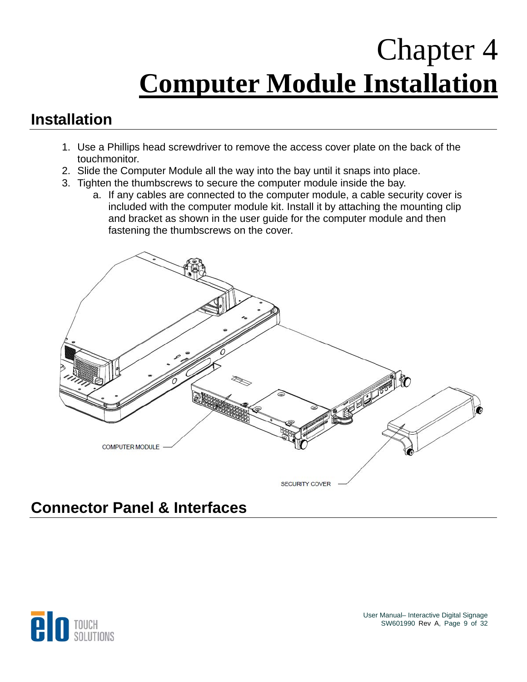## Chapter 4 **Computer Module Installation**

### **Installation**

- 1. Use a Phillips head screwdriver to remove the access cover plate on the back of the touchmonitor.
- 2. Slide the Computer Module all the way into the bay until it snaps into place.
- 3. Tighten the thumbscrews to secure the computer module inside the bay.
	- a. If any cables are connected to the computer module, a cable security cover is included with the computer module kit. Install it by attaching the mounting clip and bracket as shown in the user guide for the computer module and then fastening the thumbscrews on the cover.



### **Connector Panel & Interfaces**

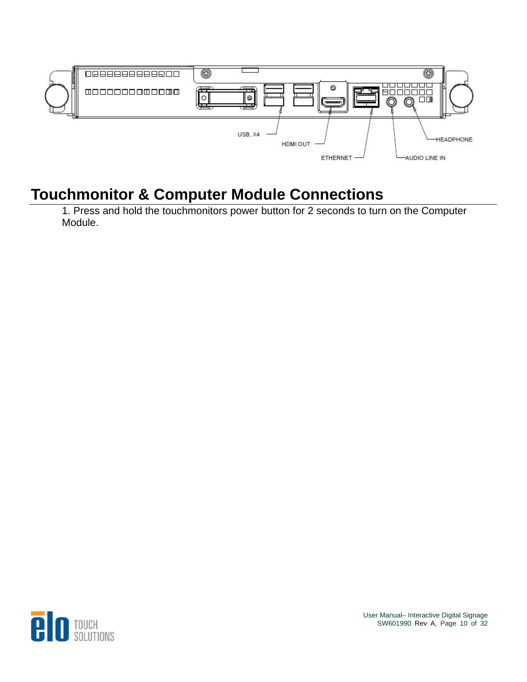

## **Touchmonitor & Computer Module Connections**

1. Press and hold the touchmonitors power button for 2 seconds to turn on the Computer Module.



User Manual– Interactive Digital Signage SW601990 Rev A, Page 10 of 32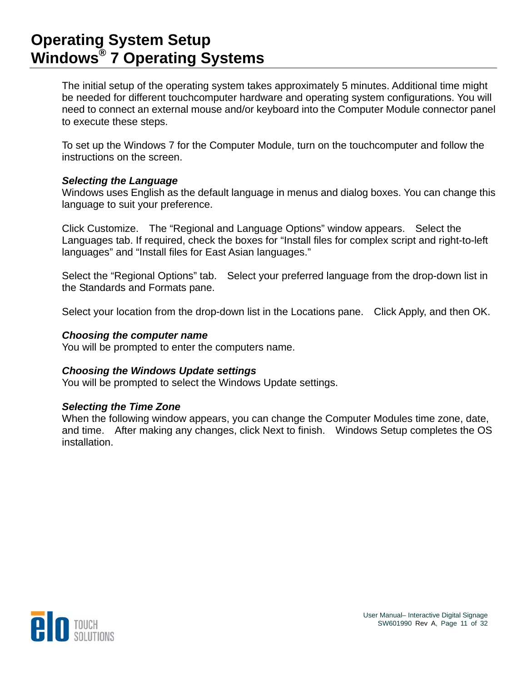#### **Operating System Setup Windows® 7 Operating Systems**

The initial setup of the operating system takes approximately 5 minutes. Additional time might be needed for different touchcomputer hardware and operating system configurations. You will need to connect an external mouse and/or keyboard into the Computer Module connector panel to execute these steps.

To set up the Windows 7 for the Computer Module, turn on the touchcomputer and follow the instructions on the screen.

#### *Selecting the Language*

Windows uses English as the default language in menus and dialog boxes. You can change this language to suit your preference.

Click Customize. The "Regional and Language Options" window appears. Select the Languages tab. If required, check the boxes for "Install files for complex script and right-to-left languages" and "Install files for East Asian languages."

Select the "Regional Options" tab. Select your preferred language from the drop-down list in the Standards and Formats pane.

Select your location from the drop-down list in the Locations pane. Click Apply, and then OK.

#### *Choosing the computer name*

You will be prompted to enter the computers name.

#### *Choosing the Windows Update settings*

You will be prompted to select the Windows Update settings.

#### *Selecting the Time Zone*

When the following window appears, you can change the Computer Modules time zone, date, and time. After making any changes, click Next to finish. Windows Setup completes the OS installation.

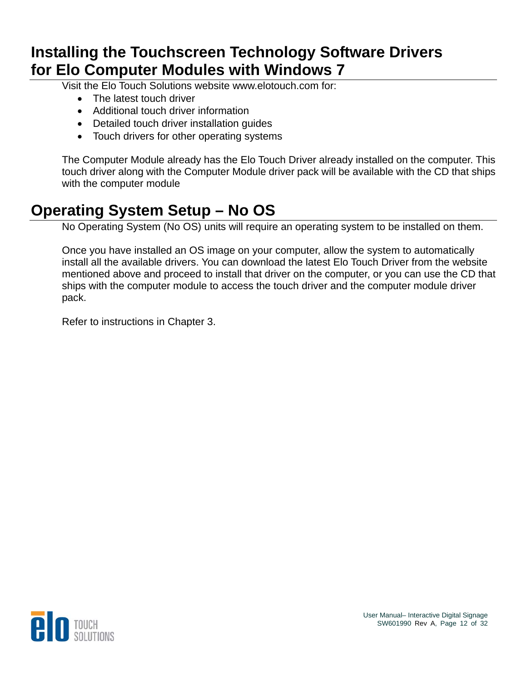#### **Installing the Touchscreen Technology Software Drivers for Elo Computer Modules with Windows 7**

Visit the Elo Touch Solutions website www.elotouch.com for:

- The latest touch driver
- Additional touch driver information
- Detailed touch driver installation guides
- Touch drivers for other operating systems

The Computer Module already has the Elo Touch Driver already installed on the computer. This touch driver along with the Computer Module driver pack will be available with the CD that ships with the computer module

### **Operating System Setup – No OS**

No Operating System (No OS) units will require an operating system to be installed on them.

Once you have installed an OS image on your computer, allow the system to automatically install all the available drivers. You can download the latest Elo Touch Driver from the website mentioned above and proceed to install that driver on the computer, or you can use the CD that ships with the computer module to access the touch driver and the computer module driver pack.

Refer to instructions in Chapter 3.

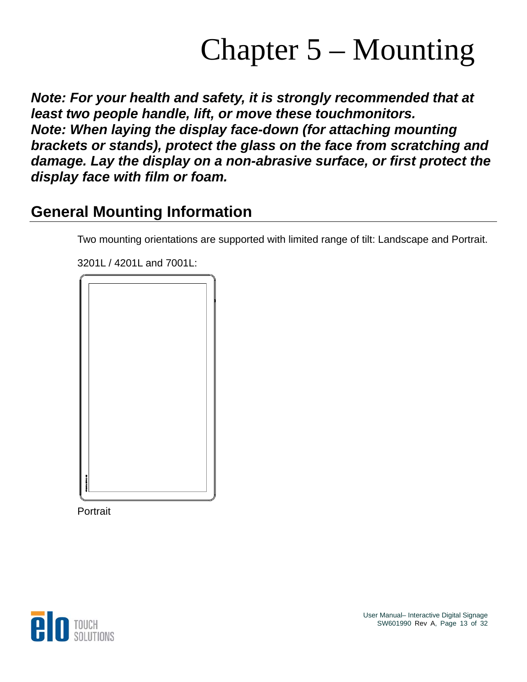## Chapter 5 – Mounting

*Note: For your health and safety, it is strongly recommended that at least two people handle, lift, or move these touchmonitors. Note: When laying the display face-down (for attaching mounting brackets or stands), protect the glass on the face from scratching and damage. Lay the display on a non-abrasive surface, or first protect the display face with film or foam.* 

### **General Mounting Information**

Two mounting orientations are supported with limited range of tilt: Landscape and Portrait.

3201L / 4201L and 7001L:



**Portrait** 

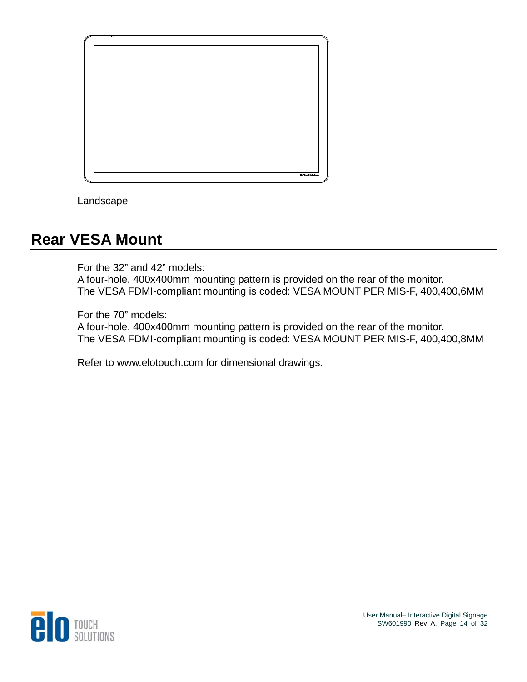

Landscape

#### **Rear VESA Mount**

For the 32" and 42" models: A four-hole, 400x400mm mounting pattern is provided on the rear of the monitor. The VESA FDMI-compliant mounting is coded: VESA MOUNT PER MIS-F, 400,400,6MM

For the 70" models:

A four-hole, 400x400mm mounting pattern is provided on the rear of the monitor. The VESA FDMI-compliant mounting is coded: VESA MOUNT PER MIS-F, 400,400,8MM

Refer to www.elotouch.com for dimensional drawings.

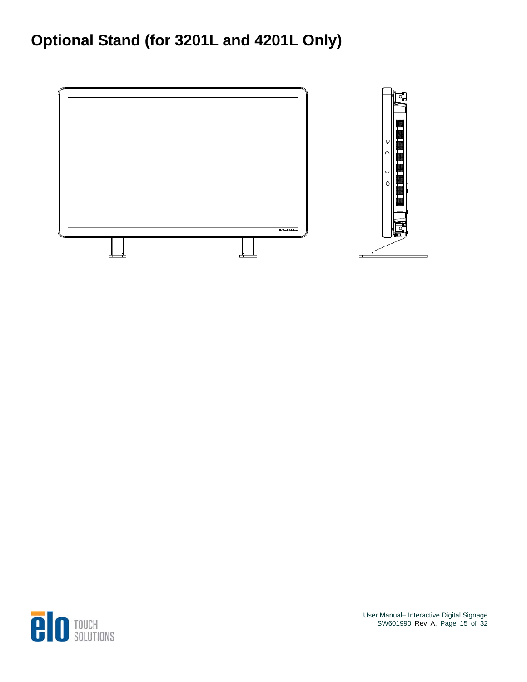## **Optional Stand (for 3201L and 4201L Only)**



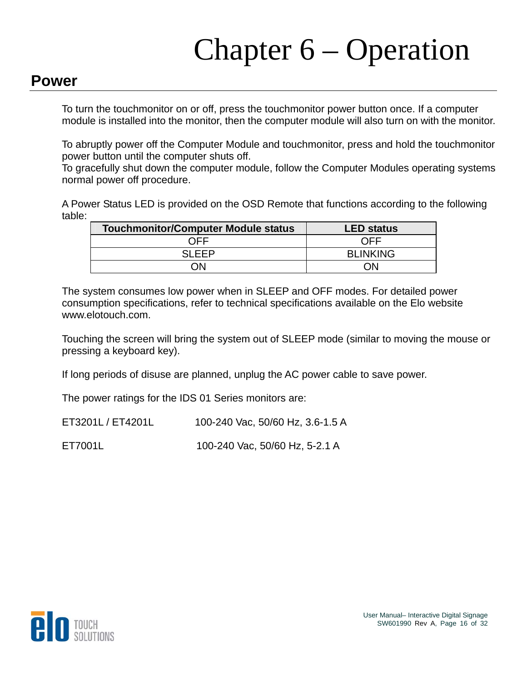# Chapter 6 – Operation

#### **Power**

To turn the touchmonitor on or off, press the touchmonitor power button once. If a computer module is installed into the monitor, then the computer module will also turn on with the monitor.

To abruptly power off the Computer Module and touchmonitor, press and hold the touchmonitor power button until the computer shuts off.

To gracefully shut down the computer module, follow the Computer Modules operating systems normal power off procedure.

A Power Status LED is provided on the OSD Remote that functions according to the following table:

| <b>Touchmonitor/Computer Module status</b> | <b>LED status</b> |
|--------------------------------------------|-------------------|
| ∩FF                                        | ∩FF               |
| SI FFP                                     | <b>BLINKING</b>   |
| 7N                                         | ٦N                |

The system consumes low power when in SLEEP and OFF modes. For detailed power consumption specifications, refer to technical specifications available on the Elo website www.elotouch.com.

Touching the screen will bring the system out of SLEEP mode (similar to moving the mouse or pressing a keyboard key).

If long periods of disuse are planned, unplug the AC power cable to save power.

The power ratings for the IDS 01 Series monitors are:

ET3201L / ET4201L 100-240 Vac, 50/60 Hz, 3.6-1.5 A

ET7001L 100-240 Vac, 50/60 Hz, 5-2.1 A

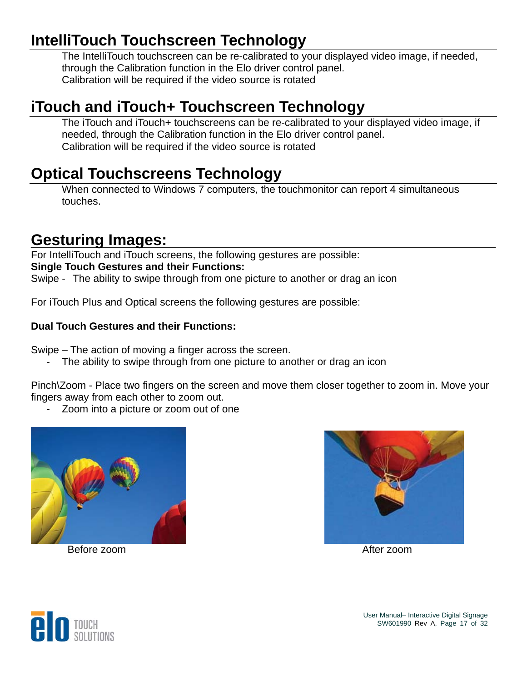### **IntelliTouch Touchscreen Technology**

The IntelliTouch touchscreen can be re-calibrated to your displayed video image, if needed, through the Calibration function in the Elo driver control panel. Calibration will be required if the video source is rotated

#### **iTouch and iTouch+ Touchscreen Technology**

The iTouch and iTouch+ touchscreens can be re-calibrated to your displayed video image, if needed, through the Calibration function in the Elo driver control panel. Calibration will be required if the video source is rotated

#### **Optical Touchscreens Technology**

When connected to Windows 7 computers, the touchmonitor can report 4 simultaneous touches.

#### **Gesturing Images:**

For IntelliTouch and iTouch screens, the following gestures are possible: **Single Touch Gestures and their Functions:**  Swipe - The ability to swipe through from one picture to another or drag an icon

For iTouch Plus and Optical screens the following gestures are possible:

#### **Dual Touch Gestures and their Functions:**

Swipe – The action of moving a finger across the screen.

The ability to swipe through from one picture to another or drag an icon

Pinch\Zoom - Place two fingers on the screen and move them closer together to zoom in. Move your fingers away from each other to zoom out.

- Zoom into a picture or zoom out of one





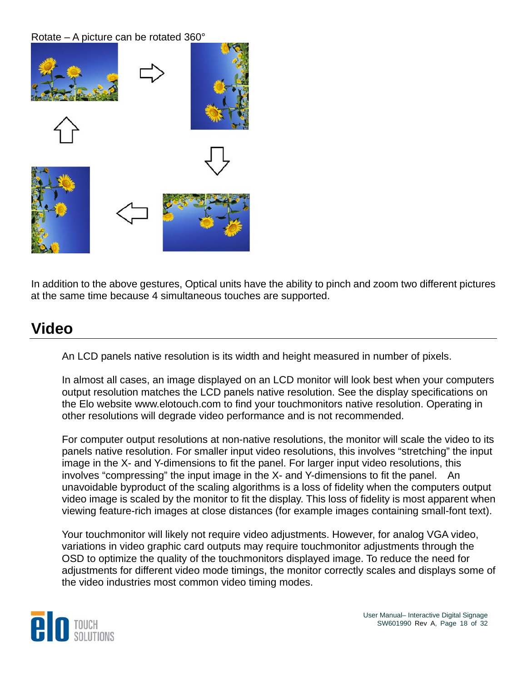Rotate – A picture can be rotated 360°



In addition to the above gestures, Optical units have the ability to pinch and zoom two different pictures at the same time because 4 simultaneous touches are supported.

#### **Video**

An LCD panels native resolution is its width and height measured in number of pixels.

In almost all cases, an image displayed on an LCD monitor will look best when your computers output resolution matches the LCD panels native resolution. See the display specifications on the Elo website www.elotouch.com to find your touchmonitors native resolution. Operating in other resolutions will degrade video performance and is not recommended.

For computer output resolutions at non-native resolutions, the monitor will scale the video to its panels native resolution. For smaller input video resolutions, this involves "stretching" the input image in the X- and Y-dimensions to fit the panel. For larger input video resolutions, this involves "compressing" the input image in the X- and Y-dimensions to fit the panel. An unavoidable byproduct of the scaling algorithms is a loss of fidelity when the computers output video image is scaled by the monitor to fit the display. This loss of fidelity is most apparent when viewing feature-rich images at close distances (for example images containing small-font text).

Your touchmonitor will likely not require video adjustments. However, for analog VGA video, variations in video graphic card outputs may require touchmonitor adjustments through the OSD to optimize the quality of the touchmonitors displayed image. To reduce the need for adjustments for different video mode timings, the monitor correctly scales and displays some of the video industries most common video timing modes.



User Manual– Interactive Digital Signage SW601990 Rev A, Page 18 of 32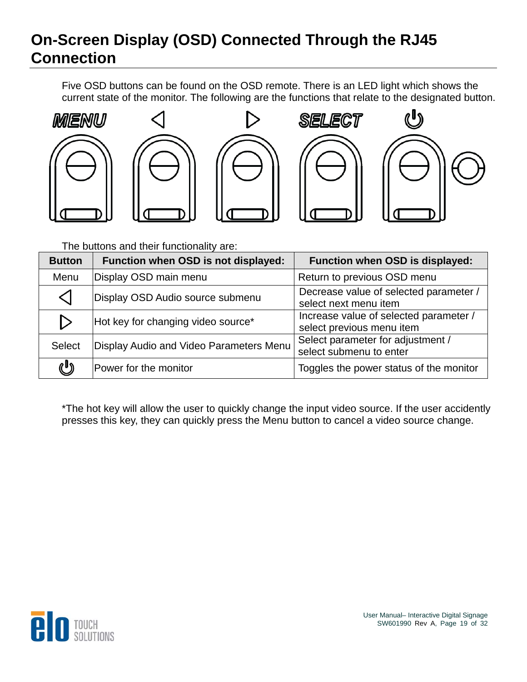## **On-Screen Display (OSD) Connected Through the RJ45 Connection**

Five OSD buttons can be found on the OSD remote. There is an LED light which shows the current state of the monitor. The following are the functions that relate to the designated button.











The buttons and their functionality are:

| <b>Button</b>    | Function when OSD is not displayed:     | Function when OSD is displayed:                                     |
|------------------|-----------------------------------------|---------------------------------------------------------------------|
| Menu             | Display OSD main menu                   | Return to previous OSD menu                                         |
| ◁                | Display OSD Audio source submenu        | Decrease value of selected parameter /<br>select next menu item     |
| $\triangleright$ | Hot key for changing video source*      | Increase value of selected parameter /<br>select previous menu item |
| <b>Select</b>    | Display Audio and Video Parameters Menu | Select parameter for adjustment /<br>select submenu to enter        |
| U                | Power for the monitor                   | Toggles the power status of the monitor                             |

\*The hot key will allow the user to quickly change the input video source. If the user accidently presses this key, they can quickly press the Menu button to cancel a video source change.

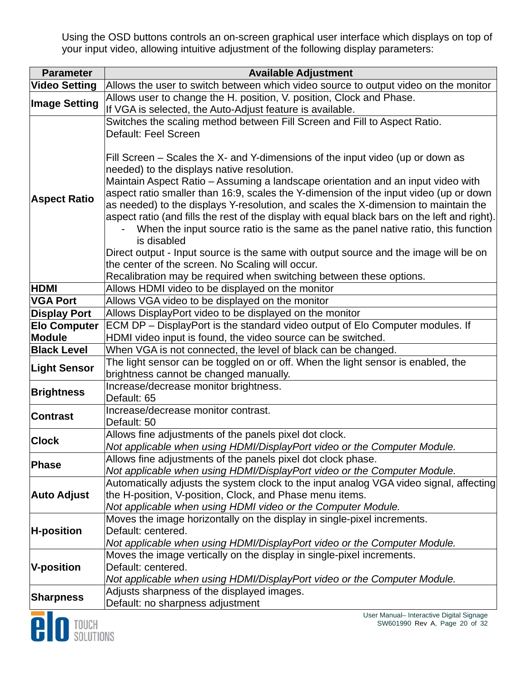Using the OSD buttons controls an on-screen graphical user interface which displays on top of your input video, allowing intuitive adjustment of the following display parameters:

| <b>Parameter</b>     | <b>Available Adjustment</b>                                                                   |  |
|----------------------|-----------------------------------------------------------------------------------------------|--|
| <b>Video Setting</b> | Allows the user to switch between which video source to output video on the monitor           |  |
|                      | Allows user to change the H. position, V. position, Clock and Phase.                          |  |
| <b>Image Setting</b> | If VGA is selected, the Auto-Adjust feature is available.                                     |  |
|                      | Switches the scaling method between Fill Screen and Fill to Aspect Ratio.                     |  |
|                      | Default: Feel Screen                                                                          |  |
|                      |                                                                                               |  |
|                      | Fill Screen – Scales the X- and Y-dimensions of the input video (up or down as                |  |
|                      | needed) to the displays native resolution.                                                    |  |
|                      | Maintain Aspect Ratio - Assuming a landscape orientation and an input video with              |  |
| <b>Aspect Ratio</b>  | aspect ratio smaller than 16:9, scales the Y-dimension of the input video (up or down         |  |
|                      | as needed) to the displays Y-resolution, and scales the X-dimension to maintain the           |  |
|                      | aspect ratio (and fills the rest of the display with equal black bars on the left and right). |  |
|                      | When the input source ratio is the same as the panel native ratio, this function              |  |
|                      | is disabled                                                                                   |  |
|                      | Direct output - Input source is the same with output source and the image will be on          |  |
|                      | the center of the screen. No Scaling will occur.                                              |  |
|                      | Recalibration may be required when switching between these options.                           |  |
| <b>HDMI</b>          | Allows HDMI video to be displayed on the monitor                                              |  |
| <b>VGA Port</b>      | Allows VGA video to be displayed on the monitor                                               |  |
| <b>Display Port</b>  | Allows DisplayPort video to be displayed on the monitor                                       |  |
| <b>Elo Computer</b>  | ECM DP - DisplayPort is the standard video output of Elo Computer modules. If                 |  |
| <b>Module</b>        | HDMI video input is found, the video source can be switched.                                  |  |
| <b>Black Level</b>   | When VGA is not connected, the level of black can be changed.                                 |  |
| <b>Light Sensor</b>  | The light sensor can be toggled on or off. When the light sensor is enabled, the              |  |
|                      | brightness cannot be changed manually.                                                        |  |
| <b>Brightness</b>    | Increase/decrease monitor brightness.                                                         |  |
|                      | Default: 65                                                                                   |  |
| <b>Contrast</b>      | Increase/decrease monitor contrast.                                                           |  |
|                      | Default: 50                                                                                   |  |
| <b>Clock</b>         | Allows fine adjustments of the panels pixel dot clock.                                        |  |
|                      | Not applicable when using HDMI/DisplayPort video or the Computer Module.                      |  |
| Phase                | Allows fine adjustments of the panels pixel dot clock phase.                                  |  |
|                      | Not applicable when using HDMI/DisplayPort video or the Computer Module.                      |  |
|                      | Automatically adjusts the system clock to the input analog VGA video signal, affecting        |  |
| <b>Auto Adjust</b>   | the H-position, V-position, Clock, and Phase menu items.                                      |  |
|                      | Not applicable when using HDMI video or the Computer Module.                                  |  |
|                      | Moves the image horizontally on the display in single-pixel increments.                       |  |
| <b>H-position</b>    | Default: centered.                                                                            |  |
|                      | Not applicable when using HDMI/DisplayPort video or the Computer Module.                      |  |
|                      | Moves the image vertically on the display in single-pixel increments.                         |  |
| <b>V-position</b>    | Default: centered.                                                                            |  |
|                      | Not applicable when using HDMI/DisplayPort video or the Computer Module.                      |  |
| <b>Sharpness</b>     | Adjusts sharpness of the displayed images.                                                    |  |
|                      | Default: no sharpness adjustment                                                              |  |

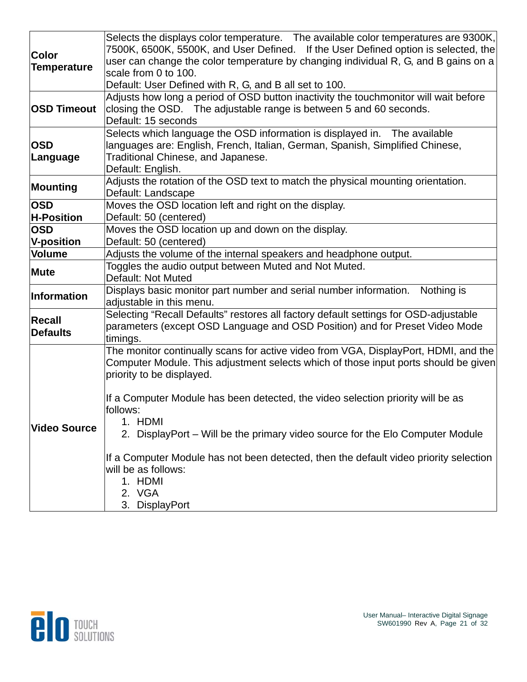|                     | Selects the displays color temperature.  The available color temperatures are 9300K,  |
|---------------------|---------------------------------------------------------------------------------------|
| <b>Color</b>        | 7500K, 6500K, 5500K, and User Defined. If the User Defined option is selected, the    |
| <b>Temperature</b>  | user can change the color temperature by changing individual R, G, and B gains on a   |
|                     | scale from 0 to 100.                                                                  |
|                     | Default: User Defined with R, G, and B all set to 100.                                |
|                     | Adjusts how long a period of OSD button inactivity the touchmonitor will wait before  |
| <b>OSD Timeout</b>  | closing the OSD. The adjustable range is between 5 and 60 seconds.                    |
|                     | Default: 15 seconds                                                                   |
|                     | Selects which language the OSD information is displayed in.  The available            |
| <b>OSD</b>          | languages are: English, French, Italian, German, Spanish, Simplified Chinese,         |
| Language            | Traditional Chinese, and Japanese.                                                    |
|                     | Default: English.                                                                     |
| Mounting            | Adjusts the rotation of the OSD text to match the physical mounting orientation.      |
|                     | Default: Landscape                                                                    |
| <b>OSD</b>          | Moves the OSD location left and right on the display.                                 |
| <b>H-Position</b>   | Default: 50 (centered)                                                                |
| <b>OSD</b>          | Moves the OSD location up and down on the display.                                    |
| <b>V-position</b>   | Default: 50 (centered)                                                                |
| Volume              | Adjusts the volume of the internal speakers and headphone output.                     |
| Mute                | Toggles the audio output between Muted and Not Muted.                                 |
|                     | Default: Not Muted                                                                    |
| Information         | Displays basic monitor part number and serial number information.<br>Nothing is       |
|                     | adjustable in this menu.                                                              |
| <b>Recall</b>       | Selecting "Recall Defaults" restores all factory default settings for OSD-adjustable  |
| <b>Defaults</b>     | parameters (except OSD Language and OSD Position) and for Preset Video Mode           |
|                     | timings.                                                                              |
|                     | The monitor continually scans for active video from VGA, DisplayPort, HDMI, and the   |
|                     | Computer Module. This adjustment selects which of those input ports should be given   |
|                     | priority to be displayed.                                                             |
|                     |                                                                                       |
|                     | If a Computer Module has been detected, the video selection priority will be as       |
|                     | follows:                                                                              |
| <b>Video Source</b> | 1. HDMI                                                                               |
|                     | 2. DisplayPort – Will be the primary video source for the Elo Computer Module         |
|                     | If a Computer Module has not been detected, then the default video priority selection |
|                     | will be as follows:                                                                   |
|                     | 1. HDMI                                                                               |
|                     | 2. VGA                                                                                |
|                     | 3. DisplayPort                                                                        |

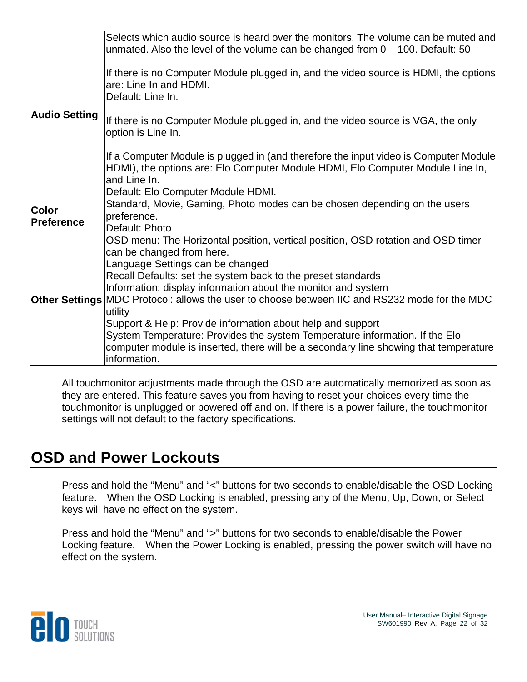|                      | Selects which audio source is heard over the monitors. The volume can be muted and<br>unmated. Also the level of the volume can be changed from $0 - 100$ . Default: 50                |
|----------------------|----------------------------------------------------------------------------------------------------------------------------------------------------------------------------------------|
|                      | If there is no Computer Module plugged in, and the video source is HDMI, the options<br>are: Line In and HDMI.<br>Default: Line In.                                                    |
| <b>Audio Setting</b> | If there is no Computer Module plugged in, and the video source is VGA, the only<br>option is Line In.                                                                                 |
|                      | If a Computer Module is plugged in (and therefore the input video is Computer Module<br>HDMI), the options are: Elo Computer Module HDMI, Elo Computer Module Line In,<br>and Line In. |
|                      | Default: Elo Computer Module HDMI.<br>Standard, Movie, Gaming, Photo modes can be chosen depending on the users                                                                        |
| <b>Color</b>         | preference.                                                                                                                                                                            |
| <b>Preference</b>    | Default: Photo                                                                                                                                                                         |
|                      | OSD menu: The Horizontal position, vertical position, OSD rotation and OSD timer                                                                                                       |
|                      | can be changed from here.                                                                                                                                                              |
|                      | Language Settings can be changed                                                                                                                                                       |
|                      | Recall Defaults: set the system back to the preset standards                                                                                                                           |
|                      | Information: display information about the monitor and system                                                                                                                          |
|                      | <b>Other Settings MDC</b> Protocol: allows the user to choose between IIC and RS232 mode for the MDC                                                                                   |
|                      | utility                                                                                                                                                                                |
|                      | Support & Help: Provide information about help and support                                                                                                                             |
|                      | System Temperature: Provides the system Temperature information. If the Elo<br>computer module is inserted, there will be a secondary line showing that temperature                    |
|                      | information.                                                                                                                                                                           |
|                      |                                                                                                                                                                                        |

All touchmonitor adjustments made through the OSD are automatically memorized as soon as they are entered. This feature saves you from having to reset your choices every time the touchmonitor is unplugged or powered off and on. If there is a power failure, the touchmonitor settings will not default to the factory specifications.

#### **OSD and Power Lockouts**

Press and hold the "Menu" and "<" buttons for two seconds to enable/disable the OSD Locking feature. When the OSD Locking is enabled, pressing any of the Menu, Up, Down, or Select keys will have no effect on the system.

Press and hold the "Menu" and ">" buttons for two seconds to enable/disable the Power Locking feature. When the Power Locking is enabled, pressing the power switch will have no effect on the system.

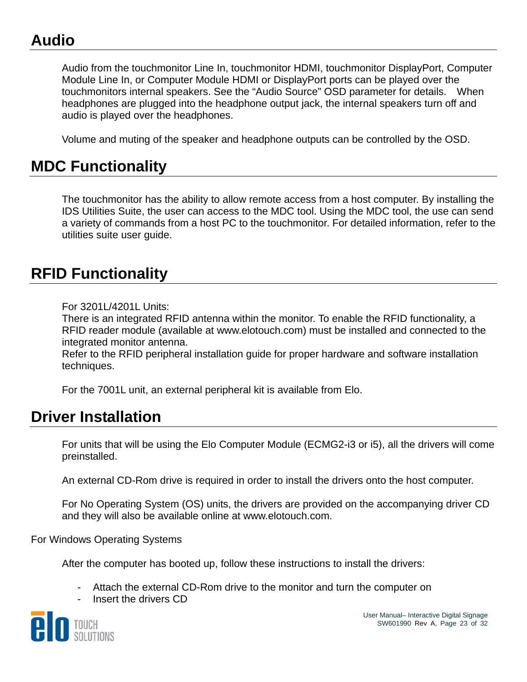### **Audio**

Audio from the touchmonitor Line In, touchmonitor HDMI, touchmonitor DisplayPort, Computer Module Line In, or Computer Module HDMI or DisplayPort ports can be played over the touchmonitors internal speakers. See the "Audio Source" OSD parameter for details. When headphones are plugged into the headphone output jack, the internal speakers turn off and audio is played over the headphones.

Volume and muting of the speaker and headphone outputs can be controlled by the OSD.

#### **MDC Functionality**

The touchmonitor has the ability to allow remote access from a host computer. By installing the IDS Utilities Suite, the user can access to the MDC tool. Using the MDC tool, the use can send a variety of commands from a host PC to the touchmonitor. For detailed information, refer to the utilities suite user guide.

#### **RFID Functionality**

For 3201L/4201L Units:

There is an integrated RFID antenna within the monitor. To enable the RFID functionality, a RFID reader module (available at www.elotouch.com) must be installed and connected to the integrated monitor antenna.

Refer to the RFID peripheral installation guide for proper hardware and software installation techniques.

For the 7001L unit, an external peripheral kit is available from Elo.

#### **Driver Installation**

For units that will be using the Elo Computer Module (ECMG2-i3 or i5), all the drivers will come preinstalled.

An external CD-Rom drive is required in order to install the drivers onto the host computer.

For No Operating System (OS) units, the drivers are provided on the accompanying driver CD and they will also be available online at www.elotouch.com.

For Windows Operating Systems

After the computer has booted up, follow these instructions to install the drivers:

- Attach the external CD-Rom drive to the monitor and turn the computer on
- Insert the drivers CD

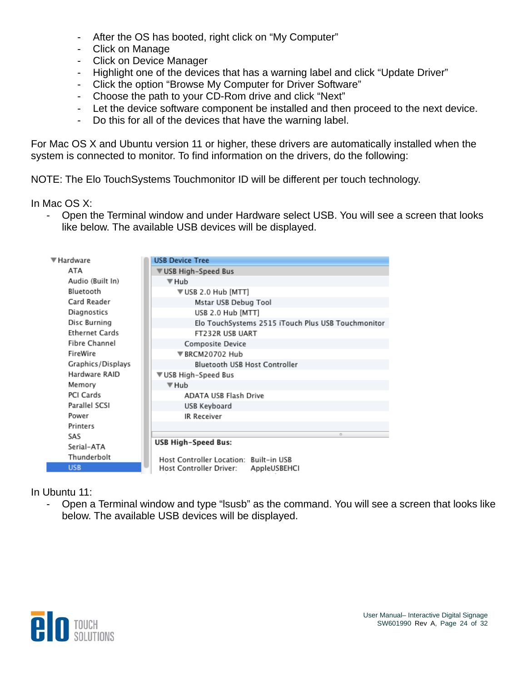- After the OS has booted, right click on "My Computer"
- Click on Manage
- Click on Device Manager
- Highlight one of the devices that has a warning label and click "Update Driver"
- Click the option "Browse My Computer for Driver Software"
- Choose the path to your CD-Rom drive and click "Next"
- Let the device software component be installed and then proceed to the next device.
- Do this for all of the devices that have the warning label.

For Mac OS X and Ubuntu version 11 or higher, these drivers are automatically installed when the system is connected to monitor. To find information on the drivers, do the following:

NOTE: The Elo TouchSystems Touchmonitor ID will be different per touch technology.

In Mac OS X:

- Open the Terminal window and under Hardware select USB. You will see a screen that looks like below. The available USB devices will be displayed.



In Ubuntu 11:

- Open a Terminal window and type "lsusb" as the command. You will see a screen that looks like below. The available USB devices will be displayed.

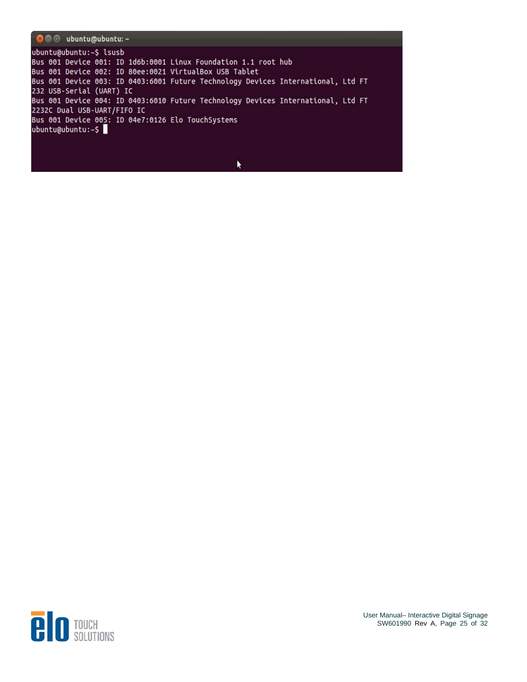

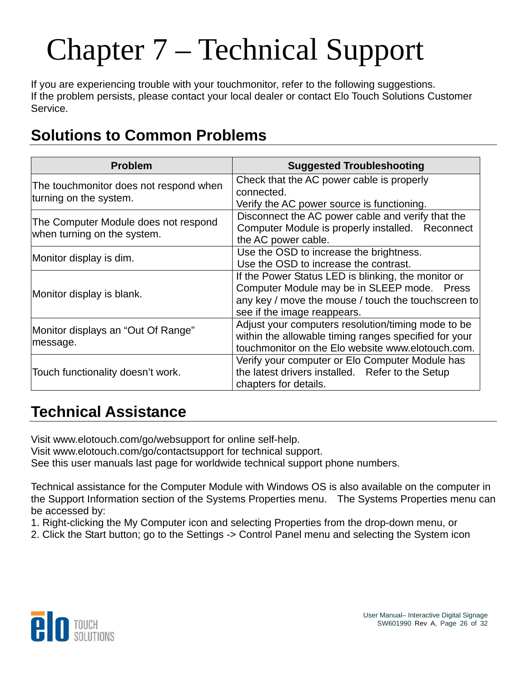# Chapter 7 – Technical Support

If you are experiencing trouble with your touchmonitor, refer to the following suggestions. If the problem persists, please contact your local dealer or contact Elo Touch Solutions Customer Service.

### **Solutions to Common Problems**

| <b>Problem</b>                                                      | <b>Suggested Troubleshooting</b>                                                                                                                                                         |
|---------------------------------------------------------------------|------------------------------------------------------------------------------------------------------------------------------------------------------------------------------------------|
| The touchmonitor does not respond when<br>turning on the system.    | Check that the AC power cable is properly<br>connected.<br>Verify the AC power source is functioning.                                                                                    |
| The Computer Module does not respond<br>when turning on the system. | Disconnect the AC power cable and verify that the<br>Computer Module is properly installed. Reconnect<br>the AC power cable.                                                             |
| Monitor display is dim.                                             | Use the OSD to increase the brightness.<br>Use the OSD to increase the contrast.                                                                                                         |
| Monitor display is blank.                                           | If the Power Status LED is blinking, the monitor or<br>Computer Module may be in SLEEP mode. Press<br>any key / move the mouse / touch the touchscreen to<br>see if the image reappears. |
| Monitor displays an "Out Of Range"<br>message.                      | Adjust your computers resolution/timing mode to be<br>within the allowable timing ranges specified for your<br>touchmonitor on the Elo website www.elotouch.com.                         |
| Touch functionality doesn't work.                                   | Verify your computer or Elo Computer Module has<br>the latest drivers installed. Refer to the Setup<br>chapters for details.                                                             |

#### **Technical Assistance**

Visit www.elotouch.com/go/websupport for online self-help. Visit www.elotouch.com/go/contactsupport for technical support.

See this user manuals last page for worldwide technical support phone numbers.

Technical assistance for the Computer Module with Windows OS is also available on the computer in the Support Information section of the Systems Properties menu. The Systems Properties menu can be accessed by:

1. Right-clicking the My Computer icon and selecting Properties from the drop-down menu, or

2. Click the Start button; go to the Settings -> Control Panel menu and selecting the System icon

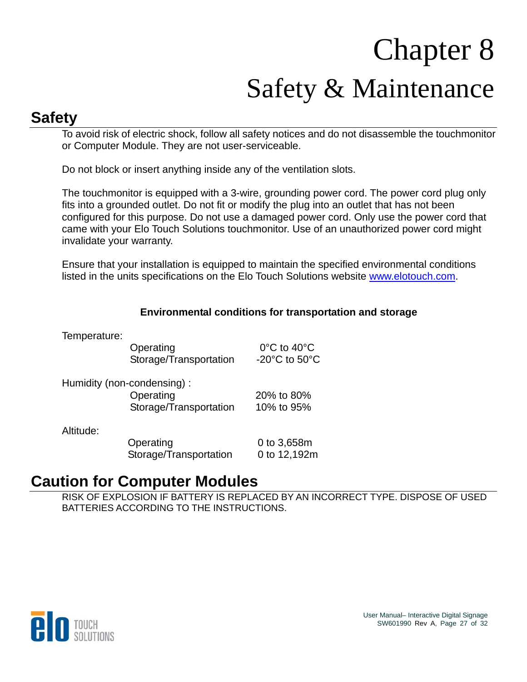# Chapter 8 Safety & Maintenance

#### **Safety**

To avoid risk of electric shock, follow all safety notices and do not disassemble the touchmonitor or Computer Module. They are not user-serviceable.

Do not block or insert anything inside any of the ventilation slots.

The touchmonitor is equipped with a 3-wire, grounding power cord. The power cord plug only fits into a grounded outlet. Do not fit or modify the plug into an outlet that has not been configured for this purpose. Do not use a damaged power cord. Only use the power cord that came with your Elo Touch Solutions touchmonitor. Use of an unauthorized power cord might invalidate your warranty.

Ensure that your installation is equipped to maintain the specified environmental conditions listed in the units specifications on the Elo Touch Solutions website [www.elotouch.com](http://www.elotouch.com/).

#### **Environmental conditions for transportation and storage**

Temperature:

Operating 0°C to 40°C Storage/Transportation -20°C to 50°C

| Humidity (non-condensing): |            |
|----------------------------|------------|
| Operating                  | 20% to 80% |
| Storage/Transportation     | 10% to 95% |

Altitude:

 Operating 0 to 3,658m Storage/Transportation 0 to 12,192m

#### **Caution for Computer Modules**

RISK OF EXPLOSION IF BATTERY IS REPLACED BY AN INCORRECT TYPE. DISPOSE OF USED BATTERIES ACCORDING TO THE INSTRUCTIONS.

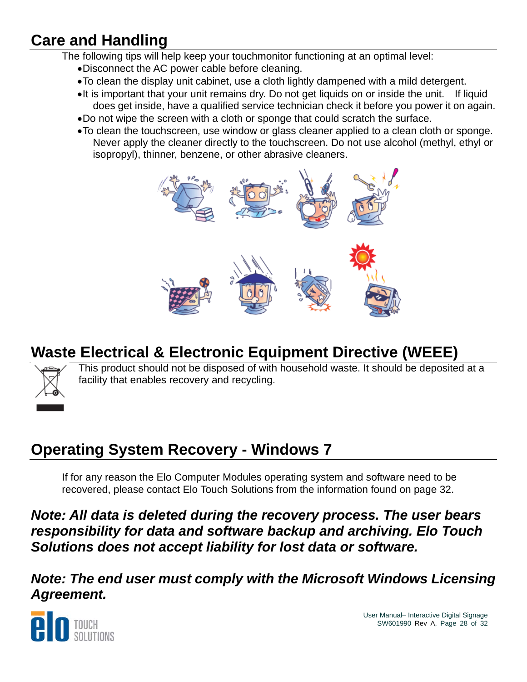## **Care and Handling**

The following tips will help keep your touchmonitor functioning at an optimal level:

- Disconnect the AC power cable before cleaning.
- To clean the display unit cabinet, use a cloth lightly dampened with a mild detergent.
- •It is important that your unit remains dry. Do not get liquids on or inside the unit. If liquid does get inside, have a qualified service technician check it before you power it on again.
- Do not wipe the screen with a cloth or sponge that could scratch the surface.
- To clean the touchscreen, use window or glass cleaner applied to a clean cloth or sponge. Never apply the cleaner directly to the touchscreen. Do not use alcohol (methyl, ethyl or isopropyl), thinner, benzene, or other abrasive cleaners.



### **Waste Electrical & Electronic Equipment Directive (WEEE)**



This product should not be disposed of with household waste. It should be deposited at a facility that enables recovery and recycling.

## **Operating System Recovery - Windows 7**

If for any reason the Elo Computer Modules operating system and software need to be recovered, please contact Elo Touch Solutions from the information found on page 32.

*Note: All data is deleted during the recovery process. The user bears responsibility for data and software backup and archiving. Elo Touch Solutions does not accept liability for lost data or software.* 

*Note: The end user must comply with the Microsoft Windows Licensing Agreement.* 



User Manual– Interactive Digital Signage SW601990 Rev A, Page 28 of 32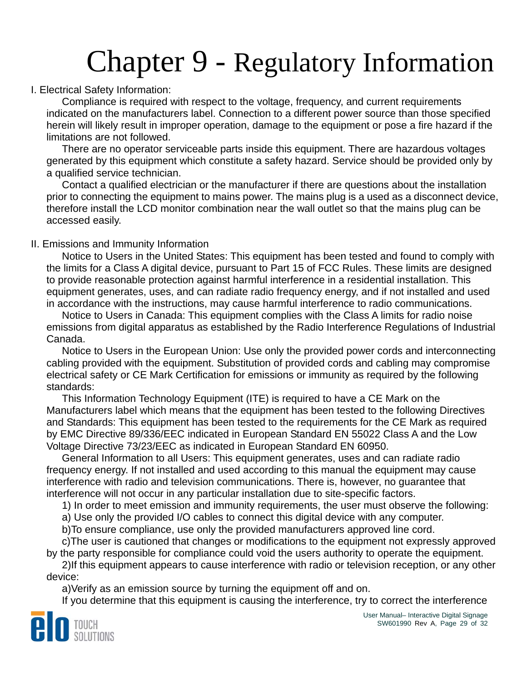## Chapter 9 - Regulatory Information

#### I. Electrical Safety Information:

Compliance is required with respect to the voltage, frequency, and current requirements indicated on the manufacturers label. Connection to a different power source than those specified herein will likely result in improper operation, damage to the equipment or pose a fire hazard if the limitations are not followed.

There are no operator serviceable parts inside this equipment. There are hazardous voltages generated by this equipment which constitute a safety hazard. Service should be provided only by a qualified service technician.

Contact a qualified electrician or the manufacturer if there are questions about the installation prior to connecting the equipment to mains power. The mains plug is a used as a disconnect device, therefore install the LCD monitor combination near the wall outlet so that the mains plug can be accessed easily.

#### II. Emissions and Immunity Information

Notice to Users in the United States: This equipment has been tested and found to comply with the limits for a Class A digital device, pursuant to Part 15 of FCC Rules. These limits are designed to provide reasonable protection against harmful interference in a residential installation. This equipment generates, uses, and can radiate radio frequency energy, and if not installed and used in accordance with the instructions, may cause harmful interference to radio communications.

Notice to Users in Canada: This equipment complies with the Class A limits for radio noise emissions from digital apparatus as established by the Radio Interference Regulations of Industrial Canada.

Notice to Users in the European Union: Use only the provided power cords and interconnecting cabling provided with the equipment. Substitution of provided cords and cabling may compromise electrical safety or CE Mark Certification for emissions or immunity as required by the following standards:

This Information Technology Equipment (ITE) is required to have a CE Mark on the Manufacturers label which means that the equipment has been tested to the following Directives and Standards: This equipment has been tested to the requirements for the CE Mark as required by EMC Directive 89/336/EEC indicated in European Standard EN 55022 Class A and the Low Voltage Directive 73/23/EEC as indicated in European Standard EN 60950.

General Information to all Users: This equipment generates, uses and can radiate radio frequency energy. If not installed and used according to this manual the equipment may cause interference with radio and television communications. There is, however, no guarantee that interference will not occur in any particular installation due to site-specific factors.

1) In order to meet emission and immunity requirements, the user must observe the following:

a) Use only the provided I/O cables to connect this digital device with any computer.

b)To ensure compliance, use only the provided manufacturers approved line cord.

c)The user is cautioned that changes or modifications to the equipment not expressly approved by the party responsible for compliance could void the users authority to operate the equipment.

2)If this equipment appears to cause interference with radio or television reception, or any other device:

a)Verify as an emission source by turning the equipment off and on.

If you determine that this equipment is causing the interference, try to correct the interference

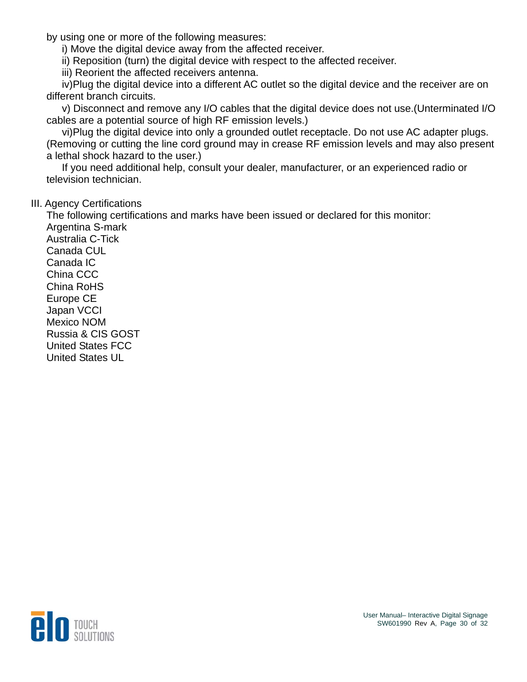by using one or more of the following measures:

i) Move the digital device away from the affected receiver.

ii) Reposition (turn) the digital device with respect to the affected receiver.

iii) Reorient the affected receivers antenna.

iv)Plug the digital device into a different AC outlet so the digital device and the receiver are on different branch circuits.

v) Disconnect and remove any I/O cables that the digital device does not use.(Unterminated I/O cables are a potential source of high RF emission levels.)

vi)Plug the digital device into only a grounded outlet receptacle. Do not use AC adapter plugs. (Removing or cutting the line cord ground may in crease RF emission levels and may also present a lethal shock hazard to the user.)

If you need additional help, consult your dealer, manufacturer, or an experienced radio or television technician.

#### III. Agency Certifications

The following certifications and marks have been issued or declared for this monitor: Argentina S-mark Australia C-Tick Canada CUL Canada IC China CCC China RoHS Europe CE Japan VCCI Mexico NOM Russia & CIS GOST United States FCC United States UL

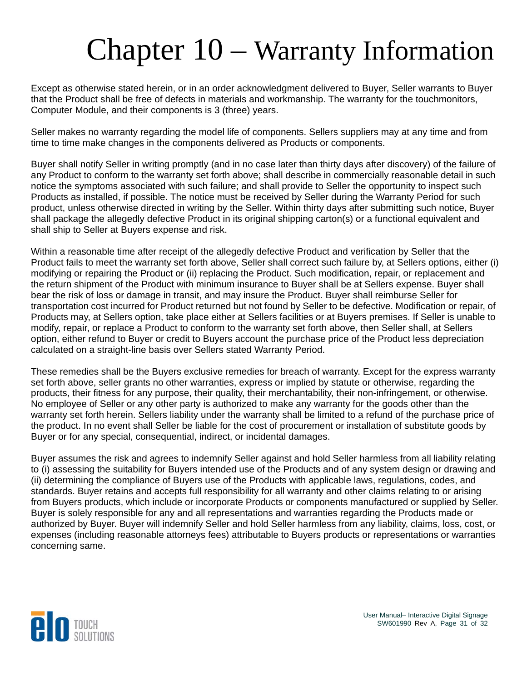## Chapter 10 – Warranty Information

Except as otherwise stated herein, or in an order acknowledgment delivered to Buyer, Seller warrants to Buyer that the Product shall be free of defects in materials and workmanship. The warranty for the touchmonitors, Computer Module, and their components is 3 (three) years.

Seller makes no warranty regarding the model life of components. Sellers suppliers may at any time and from time to time make changes in the components delivered as Products or components.

Buyer shall notify Seller in writing promptly (and in no case later than thirty days after discovery) of the failure of any Product to conform to the warranty set forth above; shall describe in commercially reasonable detail in such notice the symptoms associated with such failure; and shall provide to Seller the opportunity to inspect such Products as installed, if possible. The notice must be received by Seller during the Warranty Period for such product, unless otherwise directed in writing by the Seller. Within thirty days after submitting such notice, Buyer shall package the allegedly defective Product in its original shipping carton(s) or a functional equivalent and shall ship to Seller at Buyers expense and risk.

Within a reasonable time after receipt of the allegedly defective Product and verification by Seller that the Product fails to meet the warranty set forth above, Seller shall correct such failure by, at Sellers options, either (i) modifying or repairing the Product or (ii) replacing the Product. Such modification, repair, or replacement and the return shipment of the Product with minimum insurance to Buyer shall be at Sellers expense. Buyer shall bear the risk of loss or damage in transit, and may insure the Product. Buyer shall reimburse Seller for transportation cost incurred for Product returned but not found by Seller to be defective. Modification or repair, of Products may, at Sellers option, take place either at Sellers facilities or at Buyers premises. If Seller is unable to modify, repair, or replace a Product to conform to the warranty set forth above, then Seller shall, at Sellers option, either refund to Buyer or credit to Buyers account the purchase price of the Product less depreciation calculated on a straight-line basis over Sellers stated Warranty Period.

These remedies shall be the Buyers exclusive remedies for breach of warranty. Except for the express warranty set forth above, seller grants no other warranties, express or implied by statute or otherwise, regarding the products, their fitness for any purpose, their quality, their merchantability, their non-infringement, or otherwise. No employee of Seller or any other party is authorized to make any warranty for the goods other than the warranty set forth herein. Sellers liability under the warranty shall be limited to a refund of the purchase price of the product. In no event shall Seller be liable for the cost of procurement or installation of substitute goods by Buyer or for any special, consequential, indirect, or incidental damages.

Buyer assumes the risk and agrees to indemnify Seller against and hold Seller harmless from all liability relating to (i) assessing the suitability for Buyers intended use of the Products and of any system design or drawing and (ii) determining the compliance of Buyers use of the Products with applicable laws, regulations, codes, and standards. Buyer retains and accepts full responsibility for all warranty and other claims relating to or arising from Buyers products, which include or incorporate Products or components manufactured or supplied by Seller. Buyer is solely responsible for any and all representations and warranties regarding the Products made or authorized by Buyer. Buyer will indemnify Seller and hold Seller harmless from any liability, claims, loss, cost, or expenses (including reasonable attorneys fees) attributable to Buyers products or representations or warranties concerning same.



User Manual– Interactive Digital Signage SW601990 Rev A, Page 31 of 32